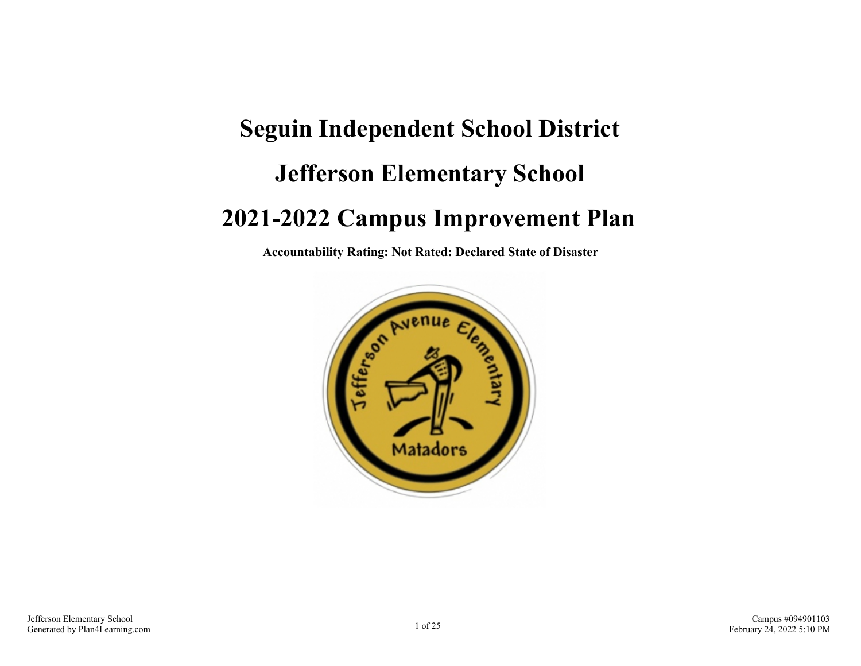# **Seguin Independent School District Jefferson Elementary School 2021-2022 Campus Improvement Plan**

**Accountability Rating: Not Rated: Declared State of Disaster**

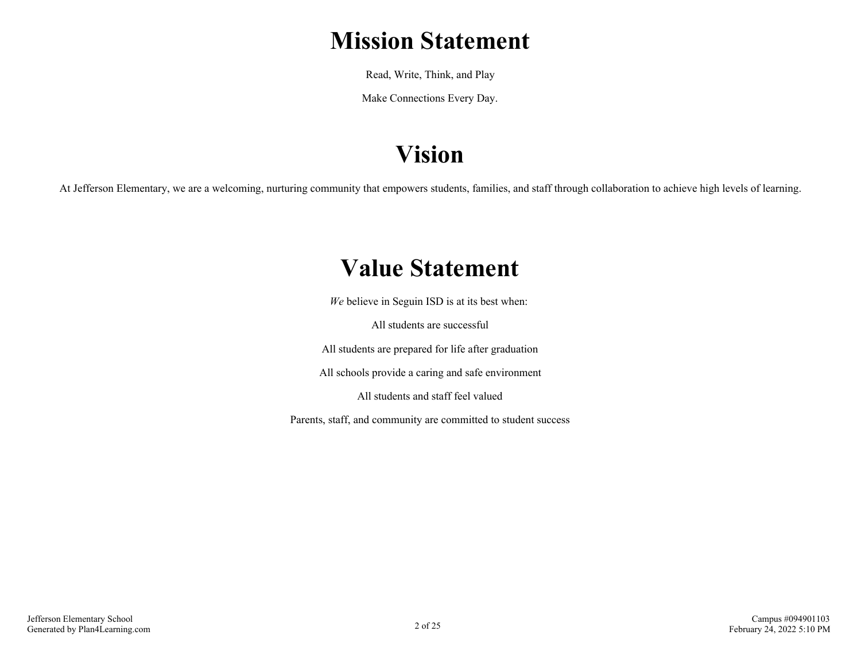### **Mission Statement**

Read, Write, Think, and Play

Make Connections Every Day.

# **Vision**

At Jefferson Elementary, we are a welcoming, nurturing community that empowers students, families, and staff through collaboration to achieve high levels of learning.

### **Value Statement**

*We* believe in Seguin ISD is at its best when:

All students are successful

All students are prepared for life after graduation

All schools provide a caring and safe environment

All students and staff feel valued

Parents, staff, and community are committed to student success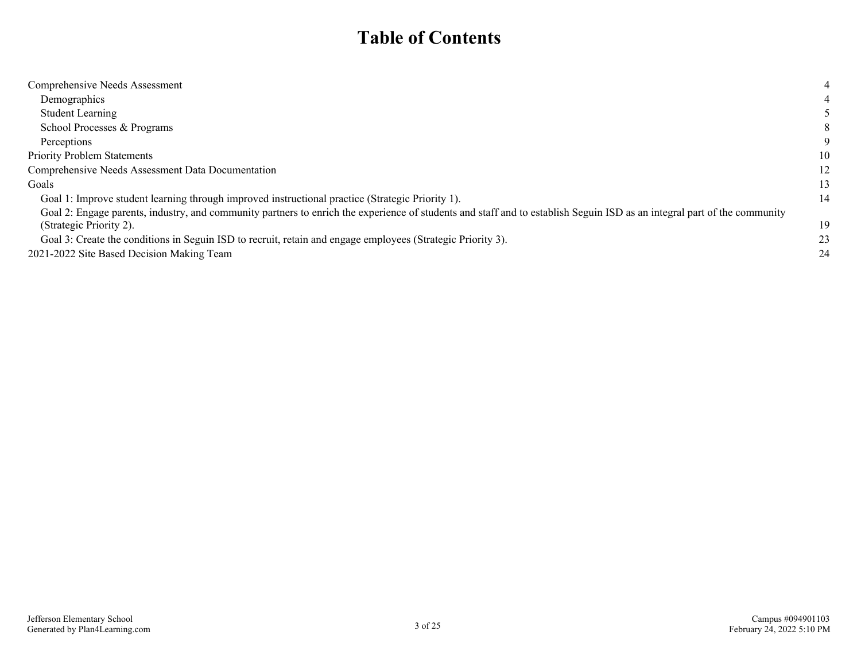### **Table of Contents**

| Comprehensive Needs Assessment                                                                                                                                           | 4  |
|--------------------------------------------------------------------------------------------------------------------------------------------------------------------------|----|
| Demographics                                                                                                                                                             |    |
| <b>Student Learning</b>                                                                                                                                                  |    |
| School Processes & Programs                                                                                                                                              | 8  |
| Perceptions                                                                                                                                                              | 9  |
| <b>Priority Problem Statements</b>                                                                                                                                       | 10 |
| Comprehensive Needs Assessment Data Documentation                                                                                                                        | 12 |
| Goals                                                                                                                                                                    | 13 |
| Goal 1: Improve student learning through improved instructional practice (Strategic Priority 1).                                                                         | 14 |
| Goal 2: Engage parents, industry, and community partners to enrich the experience of students and staff and to establish Seguin ISD as an integral part of the community |    |
| (Strategic Priority 2).                                                                                                                                                  | 19 |
| Goal 3: Create the conditions in Seguin ISD to recruit, retain and engage employees (Strategic Priority 3).                                                              | 23 |
| 2021-2022 Site Based Decision Making Team                                                                                                                                | 24 |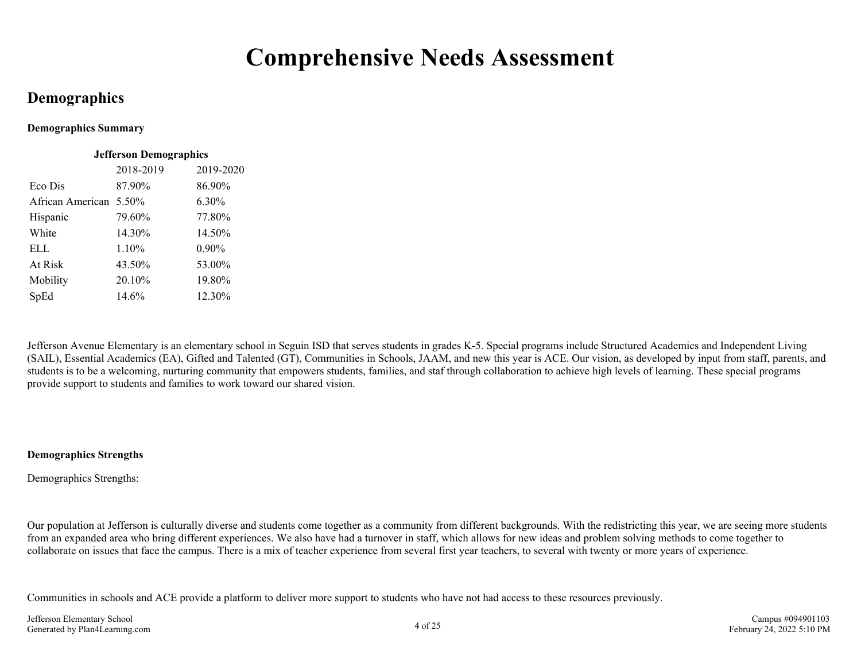### **Comprehensive Needs Assessment**

### <span id="page-3-0"></span>**Demographics**

#### **Demographics Summary**

| <b>Jefferson Demographics</b> |           |           |  |  |  |  |  |  |
|-------------------------------|-----------|-----------|--|--|--|--|--|--|
|                               | 2018-2019 | 2019-2020 |  |  |  |  |  |  |
| Eco Dis                       | 87.90%    | 86.90%    |  |  |  |  |  |  |
| African American 5.50%        |           | 6.30%     |  |  |  |  |  |  |
| Hispanic                      | 79.60%    | 77.80%    |  |  |  |  |  |  |
| White                         | 14.30%    | 14.50%    |  |  |  |  |  |  |
| ELL.                          | 1.10%     | 0.90%     |  |  |  |  |  |  |
| At Risk                       | 43.50%    | 53.00%    |  |  |  |  |  |  |
| Mobility                      | 20.10%    | 19.80%    |  |  |  |  |  |  |
| SpEd                          | 14.6%     | 12.30%    |  |  |  |  |  |  |

Jefferson Avenue Elementary is an elementary school in Seguin ISD that serves students in grades K-5. Special programs include Structured Academics and Independent Living (SAIL), Essential Academics (EA), Gifted and Talented (GT), Communities in Schools, JAAM, and new this year is ACE. Our vision, as developed by input from staff, parents, and students is to be a welcoming, nurturing community that empowers students, families, and staf through collaboration to achieve high levels of learning. These special programs provide support to students and families to work toward our shared vision.

#### **Demographics Strengths**

Demographics Strengths:

Our population at Jefferson is culturally diverse and students come together as a community from different backgrounds. With the redistricting this year, we are seeing more students from an expanded area who bring different experiences. We also have had a turnover in staff, which allows for new ideas and problem solving methods to come together to collaborate on issues that face the campus. There is a mix of teacher experience from several first year teachers, to several with twenty or more years of experience.

Communities in schools and ACE provide a platform to deliver more support to students who have not had access to these resources previously.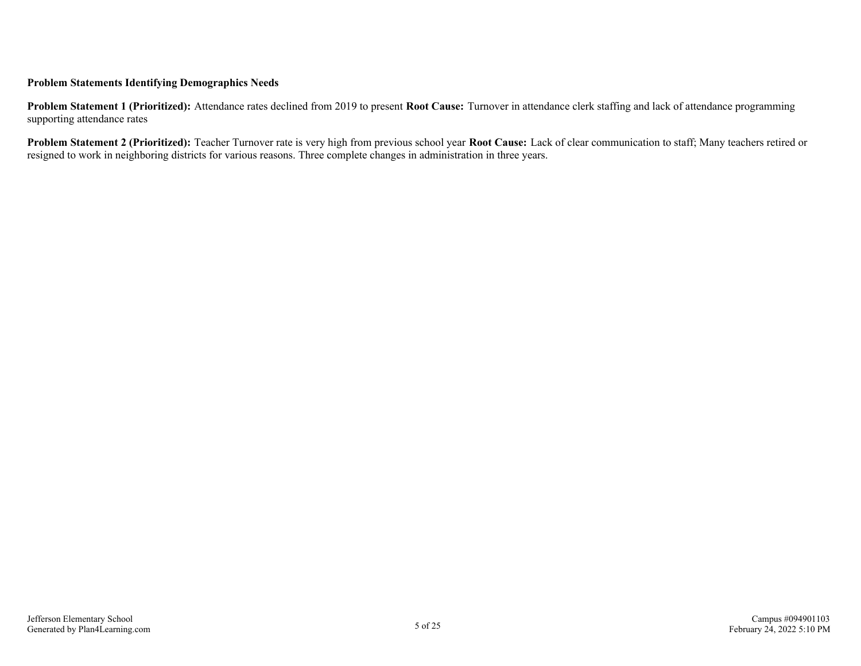#### **Problem Statements Identifying Demographics Needs**

**Problem Statement 1 (Prioritized):** Attendance rates declined from 2019 to present **Root Cause:** Turnover in attendance clerk staffing and lack of attendance programming supporting attendance rates

**Problem Statement 2 (Prioritized):** Teacher Turnover rate is very high from previous school year **Root Cause:** Lack of clear communication to staff; Many teachers retired or resigned to work in neighboring districts for various reasons. Three complete changes in administration in three years.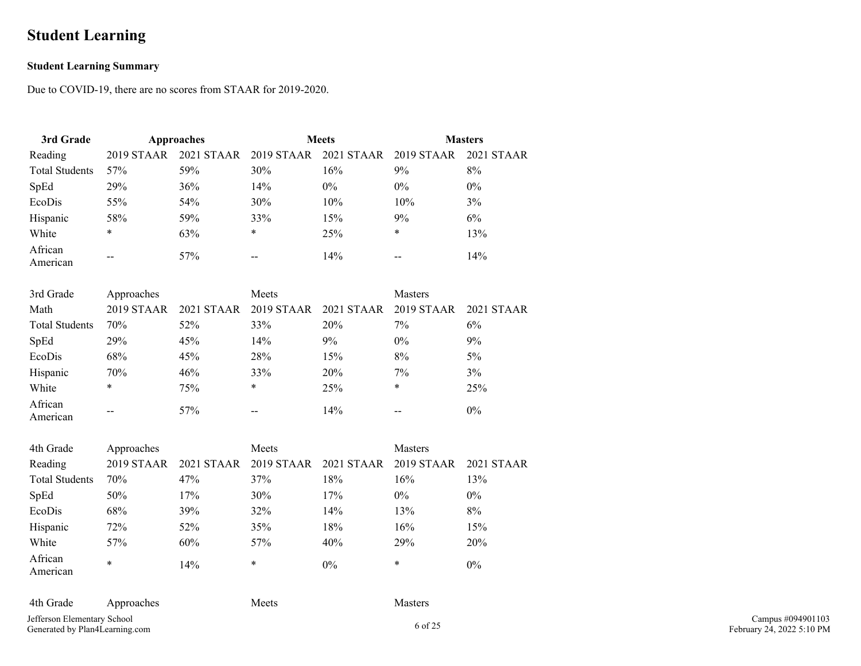### <span id="page-5-0"></span>**Student Learning**

#### **Student Learning Summary**

Due to COVID-19, there are no scores from STAAR for 2019-2020.

| 3rd Grade             | Approaches |     | <b>Meets</b>                                |       | <b>Masters</b> |            |  |
|-----------------------|------------|-----|---------------------------------------------|-------|----------------|------------|--|
| Reading               | 2019 STAAR |     | 2021 STAAR 2019 STAAR 2021 STAAR 2019 STAAR |       |                | 2021 STAAR |  |
| <b>Total Students</b> | 57%        | 59% | 30%                                         | 16%   | 9%             | 8%         |  |
| SpEd                  | <b>29%</b> | 36% | 14%                                         | $0\%$ | $0\%$          | $0\%$      |  |
| EcoDis                | 55%        | 54% | 30%                                         | 10%   | 10%            | 3%         |  |
| Hispanic              | 58%        | 59% | 33%                                         | 15%   | 9%             | 6%         |  |
| White                 | ∗          | 63% | *                                           | 25%   | ∗              | 13%        |  |
| African<br>American   | $- -$      | 57% | $\overline{\phantom{m}}$                    | 14%   | --             | 14%        |  |

| 3rd Grade             | Approaches |            | Meets                    |            | Masters    |            |  |
|-----------------------|------------|------------|--------------------------|------------|------------|------------|--|
| Math                  | 2019 STAAR | 2021 STAAR | 2019 STAAR               | 2021 STAAR | 2019 STAAR | 2021 STAAR |  |
| <b>Total Students</b> | 70%        | 52%        | 33%                      | 20%        | 7%         | 6%         |  |
| SpEd                  | <b>29%</b> | 45%        | 14%                      | 9%         | $0\%$      | 9%         |  |
| EcoDis                | 68%        | 45%        | 28%                      | 15%        | 8%         | $5\%$      |  |
| Hispanic              | 70%        | 46%        | 33%                      | 20%        | 7%         | 3%         |  |
| White                 | *          | 75%        | *                        | 25%        | ∗          | 25%        |  |
| African<br>American   | --         | 57%        | $\overline{\phantom{m}}$ | 14%        | $- -$      | $0\%$      |  |

| 4th Grade             | Approaches |            | Meets      |            | <b>Masters</b> |            |
|-----------------------|------------|------------|------------|------------|----------------|------------|
| Reading               | 2019 STAAR | 2021 STAAR | 2019 STAAR | 2021 STAAR | 2019 STAAR     | 2021 STAAR |
| <b>Total Students</b> | 70%        | 47%        | 37%        | 18%        | 16%            | 13%        |
| SpEd                  | 50%        | 17%        | 30%        | 17%        | $0\%$          | $0\%$      |
| EcoDis                | 68%        | 39%        | 32%        | 14%        | 13%            | 8%         |
| Hispanic              | 72%        | 52%        | 35%        | 18%        | 16%            | 15%        |
| White                 | 57%        | 60%        | 57%        | 40%        | 29%            | 20%        |
| African<br>American   | *          | 14%        | *          | $0\%$      | ∗              | $0\%$      |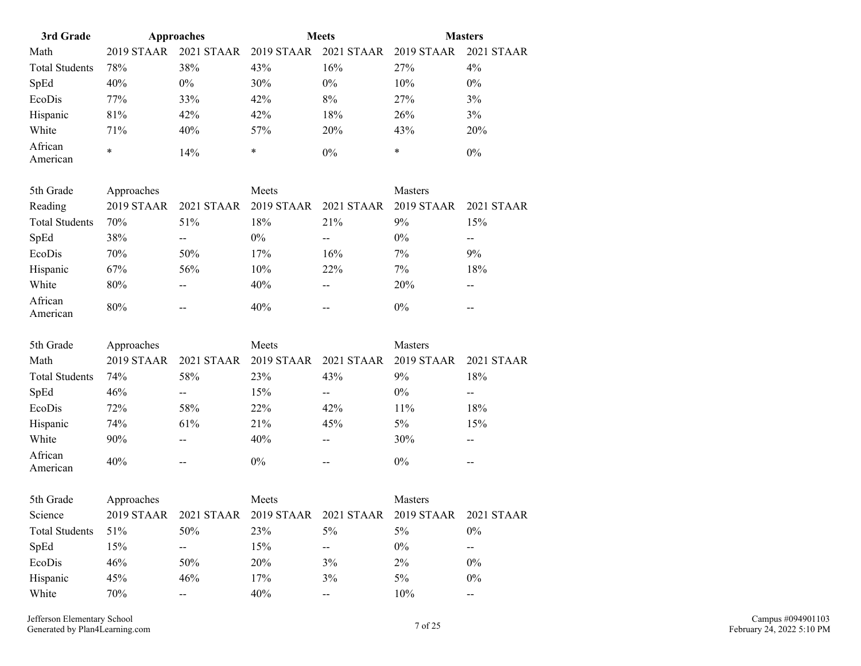| 3rd Grade             | Approaches |            | <b>Meets</b> |            | <b>Masters</b> |            |  |
|-----------------------|------------|------------|--------------|------------|----------------|------------|--|
| Math                  | 2019 STAAR | 2021 STAAR | $2019$ STAAR | 2021 STAAR | 2019 STAAR     | 2021 STAAR |  |
| <b>Total Students</b> | 78%        | 38%        | 43%          | 16%        | 27%            | $4\%$      |  |
| SpEd                  | 40%        | $0\%$      | 30%          | $0\%$      | 10%            | $0\%$      |  |
| EcoDis                | 77%        | 33%        | 42%          | 8%         | 27%            | 3%         |  |
| Hispanic              | 81%        | 42%        | 42%          | 18%        | 26%            | 3%         |  |
| White                 | 71%        | 40%        | 57%          | 20%        | 43%            | 20%        |  |
| African<br>American   | *          | 14%        | *            | $0\%$      | ∗              | $0\%$      |  |

| 5th Grade             | Approaches |                   | Meets      |                       | <b>Masters</b> |            |  |
|-----------------------|------------|-------------------|------------|-----------------------|----------------|------------|--|
| Reading               | 2019 STAAR | <b>2021 STAAR</b> | 2019 STAAR | 2021 STAAR 2019 STAAR |                | 2021 STAAR |  |
| <b>Total Students</b> | 70%        | 51%               | 18%        | 21%                   | 9%             | 15%        |  |
| SpEd                  | 38%        | --                | $0\%$      | $-$                   | $0\%$          | $- -$      |  |
| EcoDis                | 70%        | 50%               | 17%        | 16%                   | 7%             | 9%         |  |
| Hispanic              | 67%        | 56%               | 10%        | 22%                   | 7%             | 18%        |  |
| White                 | 80%        | --                | 40%        | $- -$                 | 20%            | $- -$      |  |
| African<br>American   | 80%        | $- -$             | 40%        | $- -$                 | $0\%$          | $- -$      |  |

| 5th Grade             | Approaches        |                   | Meets      |                          | <b>Masters</b> |            |
|-----------------------|-------------------|-------------------|------------|--------------------------|----------------|------------|
| Math                  | <b>2019 STAAR</b> | <b>2021 STAAR</b> | 2019 STAAR | 2021 STAAR               | 2019 STAAR     | 2021 STAAR |
| <b>Total Students</b> | 74%               | 58%               | <b>23%</b> | 43%                      | 9%             | 18%        |
| SpEd                  | 46%               | $- -$             | 15%        | $\overline{\phantom{m}}$ | $0\%$          | --         |
| EcoDis                | 72%               | 58%               | 22%        | 42%                      | 11%            | 18%        |
| Hispanic              | 74%               | 61%               | 21%        | 45%                      | 5%             | 15%        |
| White                 | 90%               | $- -$             | 40%        | $- -$                    | 30%            | $- -$      |
| African<br>American   | 40%               | $- -$             | $0\%$      | $- -$                    | $0\%$          | --         |

| 5th Grade             | Approaches |       | Meets                                       |       | <b>Masters</b> |            |
|-----------------------|------------|-------|---------------------------------------------|-------|----------------|------------|
| Science               | 2019 STAAR |       | 2021 STAAR 2019 STAAR 2021 STAAR 2019 STAAR |       |                | 2021 STAAR |
| <b>Total Students</b> | 51%        | 50%   | 23%                                         | $5\%$ | 5%             | $0\%$      |
| SpEd                  | 15%        | $- -$ | 15%                                         | $- -$ | $0\%$          | $- -$      |
| EcoDis                | 46%        | 50%   | 20%                                         | 3%    | $2\%$          | $0\%$      |
| Hispanic              | 45%        | 46%   | 17%                                         | 3%    | 5%             | $0\%$      |
| White                 | 70%        | $- -$ | 40%                                         | $- -$ | 10%            | $- -$      |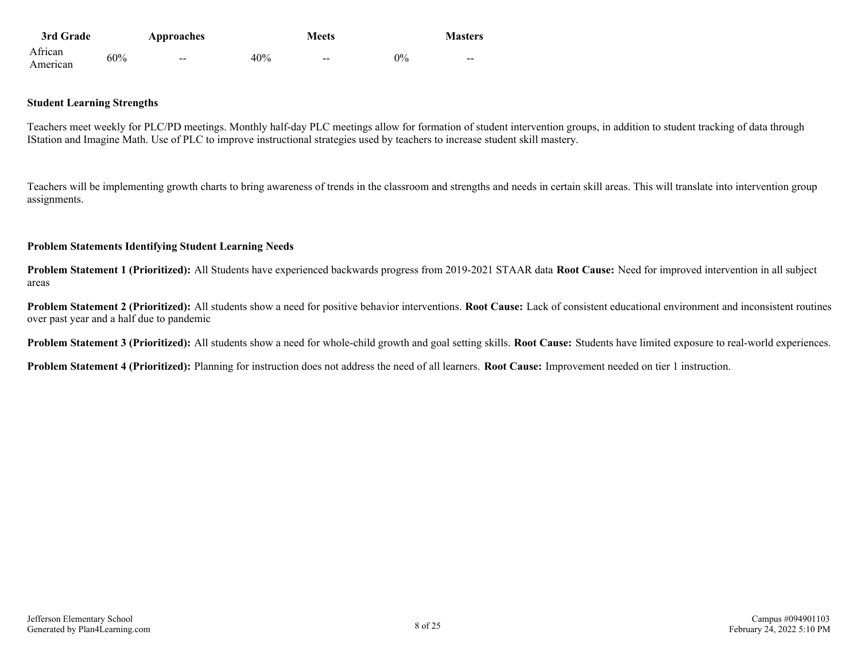| 3rd Grade           |     | Approaches               |     | <b>Meets</b>             |    | <b>Masters</b>           |
|---------------------|-----|--------------------------|-----|--------------------------|----|--------------------------|
| African<br>American | 60% | $\overline{\phantom{m}}$ | 40% | $\overline{\phantom{m}}$ | 0% | $\overline{\phantom{m}}$ |

#### **Student Learning Strengths**

Teachers meet weekly for PLC/PD meetings. Monthly half-day PLC meetings allow for formation of student intervention groups, in addition to student tracking of data through IStation and Imagine Math. Use of PLC to improve instructional strategies used by teachers to increase student skill mastery.

Teachers will be implementing growth charts to bring awareness of trends in the classroom and strengths and needs in certain skill areas. This will translate into intervention group assignments.

#### **Problem Statements Identifying Student Learning Needs**

**Problem Statement 1 (Prioritized):** All Students have experienced backwards progress from 2019-2021 STAAR data **Root Cause:** Need for improved intervention in all subject areas

**Problem Statement 2 (Prioritized):** All students show a need for positive behavior interventions. **Root Cause:** Lack of consistent educational environment and inconsistent routines over past year and a half due to pandemic

**Problem Statement 3 (Prioritized):** All students show a need for whole-child growth and goal setting skills. **Root Cause:** Students have limited exposure to real-world experiences.

**Problem Statement 4 (Prioritized):** Planning for instruction does not address the need of all learners. **Root Cause:** Improvement needed on tier 1 instruction.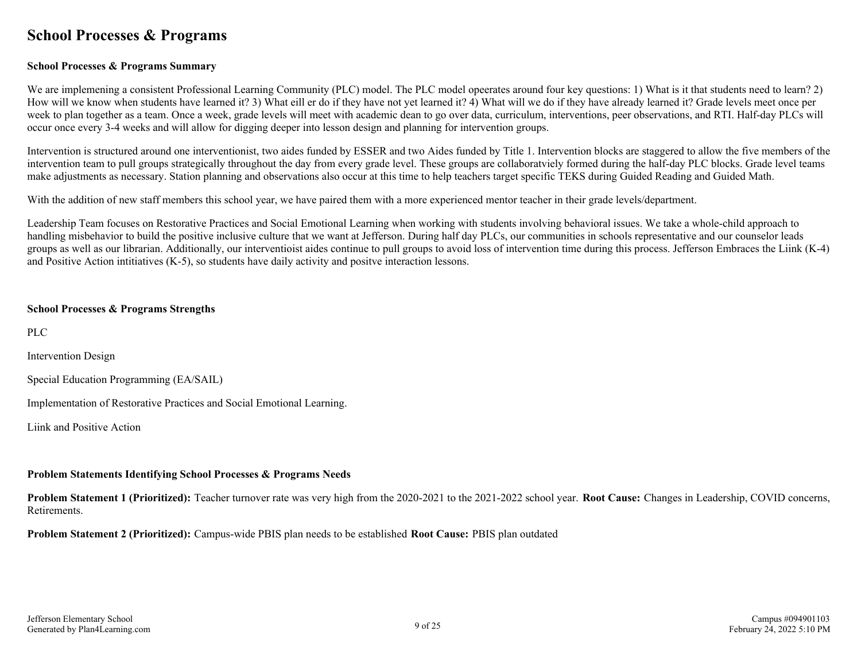### <span id="page-8-0"></span>**School Processes & Programs**

#### **School Processes & Programs Summary**

We are implemening a consistent Professional Learning Community (PLC) model. The PLC model opeerates around four key questions: 1) What is it that students need to learn? 2) How will we know when students have learned it? 3) What eill er do if they have not yet learned it? 4) What will we do if they have already learned it? Grade levels meet once per week to plan together as a team. Once a week, grade levels will meet with academic dean to go over data, curriculum, interventions, peer observations, and RTI. Half-day PLCs will occur once every 3-4 weeks and will allow for digging deeper into lesson design and planning for intervention groups.

Intervention is structured around one interventionist, two aides funded by ESSER and two Aides funded by Title 1. Intervention blocks are staggered to allow the five members of the intervention team to pull groups strategically throughout the day from every grade level. These groups are collaboratviely formed during the half-day PLC blocks. Grade level teams make adjustments as necessary. Station planning and observations also occur at this time to help teachers target specific TEKS during Guided Reading and Guided Math.

With the addition of new staff members this school year, we have paired them with a more experienced mentor teacher in their grade levels/department.

Leadership Team focuses on Restorative Practices and Social Emotional Learning when working with students involving behavioral issues. We take a whole-child approach to handling misbehavior to build the positive inclusive culture that we want at Jefferson. During half day PLCs, our communities in schools representative and our counselor leads groups as well as our librarian. Additionally, our interventioist aides continue to pull groups to avoid loss of intervention time during this process. Jefferson Embraces the Liink (K-4) and Positive Action intitiatives (K-5), so students have daily activity and positve interaction lessons.

#### **School Processes & Programs Strengths**

PLC

Intervention Design

Special Education Programming (EA/SAIL)

Implementation of Restorative Practices and Social Emotional Learning.

Liink and Positive Action

#### **Problem Statements Identifying School Processes & Programs Needs**

**Problem Statement 1 (Prioritized):** Teacher turnover rate was very high from the 2020-2021 to the 2021-2022 school year. **Root Cause:** Changes in Leadership, COVID concerns, **Retirements** 

**Problem Statement 2 (Prioritized):** Campus-wide PBIS plan needs to be established **Root Cause:** PBIS plan outdated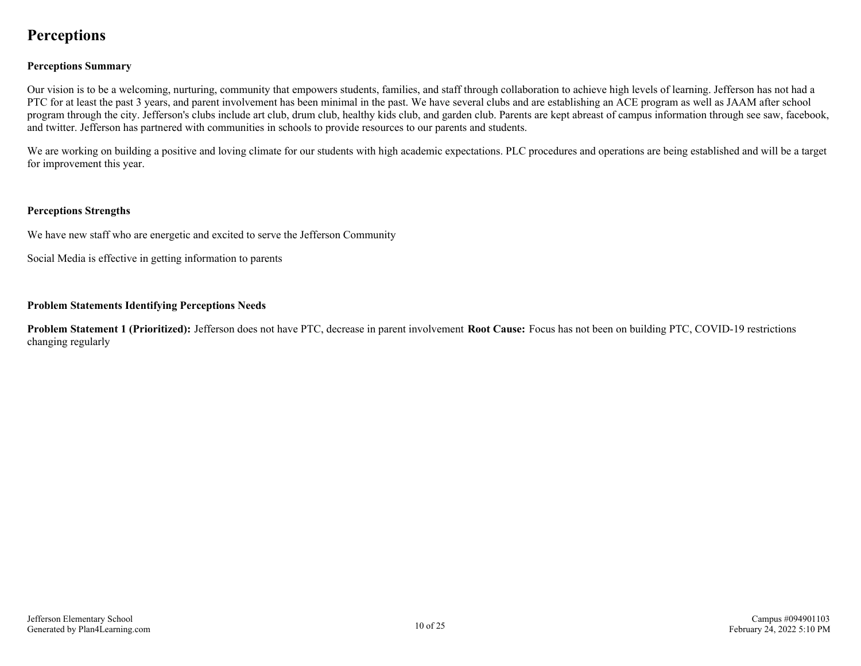### <span id="page-9-0"></span>**Perceptions**

#### **Perceptions Summary**

Our vision is to be a welcoming, nurturing, community that empowers students, families, and staff through collaboration to achieve high levels of learning. Jefferson has not had a PTC for at least the past 3 years, and parent involvement has been minimal in the past. We have several clubs and are establishing an ACE program as well as JAAM after school program through the city. Jefferson's clubs include art club, drum club, healthy kids club, and garden club. Parents are kept abreast of campus information through see saw, facebook, and twitter. Jefferson has partnered with communities in schools to provide resources to our parents and students.

We are working on building a positive and loving climate for our students with high academic expectations. PLC procedures and operations are being established and will be a target for improvement this year.

#### **Perceptions Strengths**

We have new staff who are energetic and excited to serve the Jefferson Community

Social Media is effective in getting information to parents

#### **Problem Statements Identifying Perceptions Needs**

**Problem Statement 1 (Prioritized):** Jefferson does not have PTC, decrease in parent involvement **Root Cause:** Focus has not been on building PTC, COVID-19 restrictions changing regularly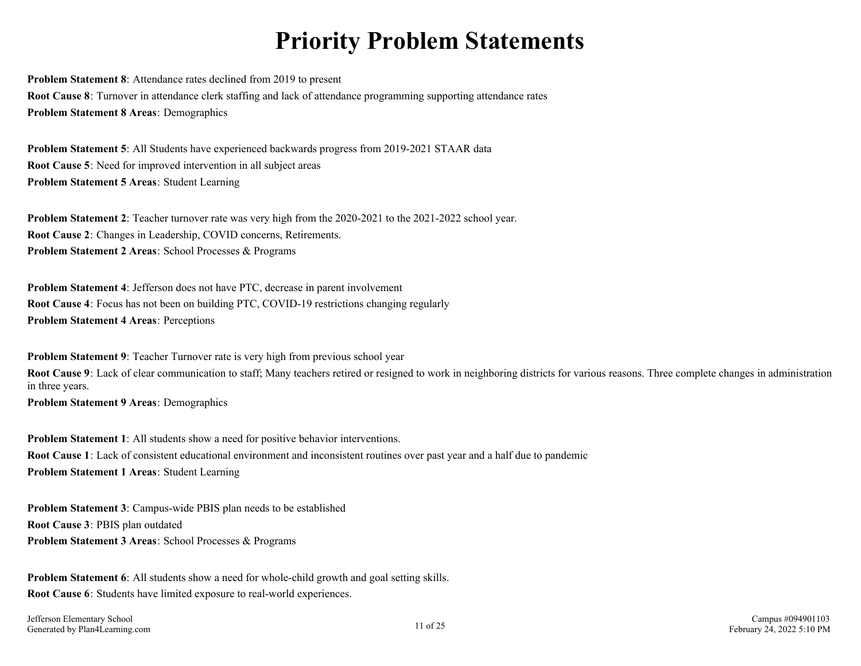# **Priority Problem Statements**

<span id="page-10-0"></span>**Problem Statement 8**: Attendance rates declined from 2019 to present **Root Cause 8**: Turnover in attendance clerk staffing and lack of attendance programming supporting attendance rates **Problem Statement 8 Areas**: Demographics

**Problem Statement 5**: All Students have experienced backwards progress from 2019-2021 STAAR data **Root Cause 5**: Need for improved intervention in all subject areas **Problem Statement 5 Areas**: Student Learning

**Problem Statement 2**: Teacher turnover rate was very high from the 2020-2021 to the 2021-2022 school year. **Root Cause 2**: Changes in Leadership, COVID concerns, Retirements. **Problem Statement 2 Areas**: School Processes & Programs

**Problem Statement 4**: Jefferson does not have PTC, decrease in parent involvement **Root Cause 4**: Focus has not been on building PTC, COVID-19 restrictions changing regularly **Problem Statement 4 Areas**: Perceptions

**Problem Statement 9**: Teacher Turnover rate is very high from previous school year **Root Cause 9**: Lack of clear communication to staff; Many teachers retired or resigned to work in neighboring districts for various reasons. Three complete changes in administration in three years.

**Problem Statement 9 Areas**: Demographics

**Problem Statement 1**: All students show a need for positive behavior interventions. **Root Cause 1**: Lack of consistent educational environment and inconsistent routines over past year and a half due to pandemic **Problem Statement 1 Areas**: Student Learning

**Problem Statement 3**: Campus-wide PBIS plan needs to be established **Root Cause 3**: PBIS plan outdated **Problem Statement 3 Areas**: School Processes & Programs

**Problem Statement 6**: All students show a need for whole-child growth and goal setting skills. **Root Cause 6**: Students have limited exposure to real-world experiences.

Jefferson Elementary School Generated by Plan4Learning.com 11 of 25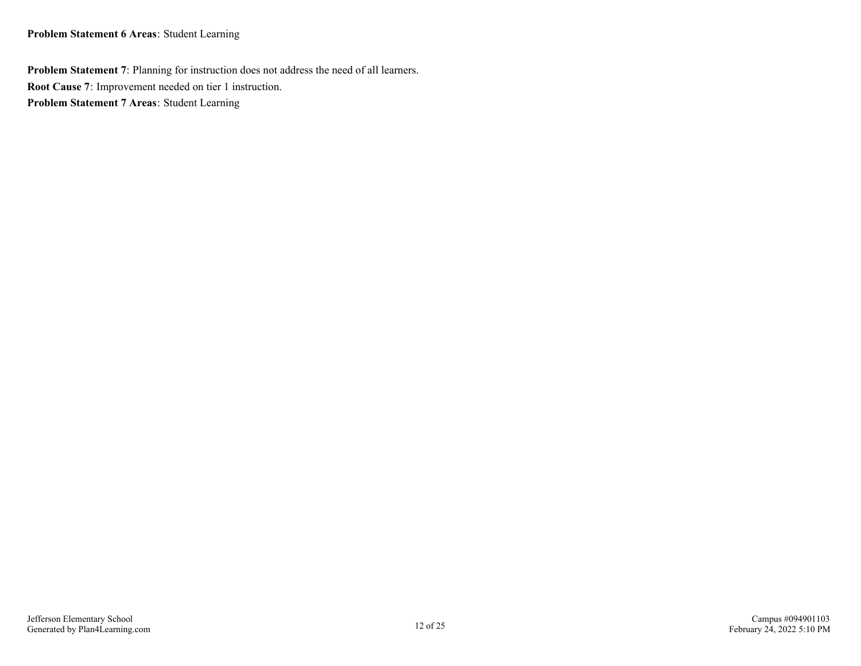**Problem Statement 6 Areas**: Student Learning

**Problem Statement 7**: Planning for instruction does not address the need of all learners. **Root Cause 7**: Improvement needed on tier 1 instruction. **Problem Statement 7 Areas**: Student Learning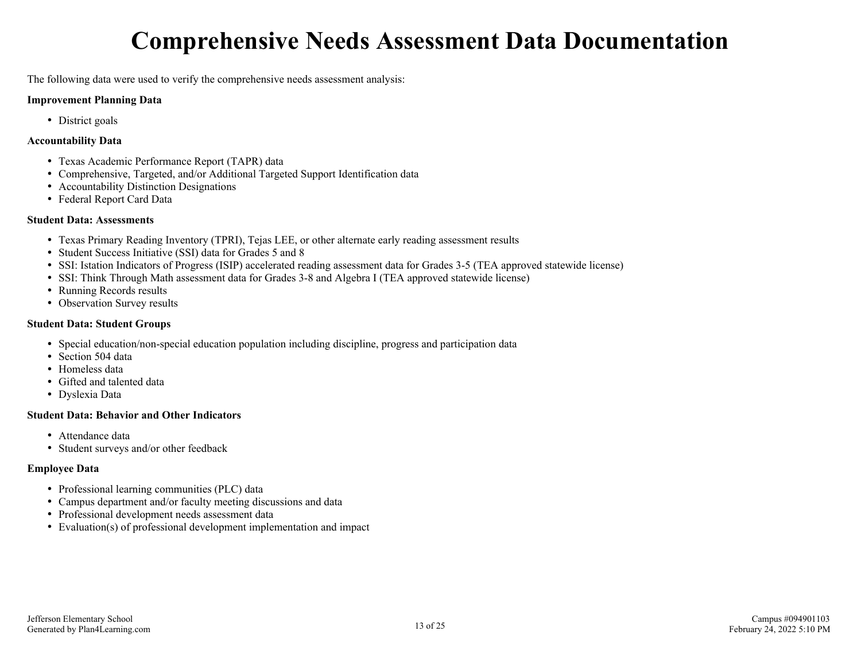# **Comprehensive Needs Assessment Data Documentation**

<span id="page-12-0"></span>The following data were used to verify the comprehensive needs assessment analysis:

#### **Improvement Planning Data**

• District goals

#### **Accountability Data**

- Texas Academic Performance Report (TAPR) data
- Comprehensive, Targeted, and/or Additional Targeted Support Identification data
- Accountability Distinction Designations
- Federal Report Card Data

#### **Student Data: Assessments**

- Texas Primary Reading Inventory (TPRI), Tejas LEE, or other alternate early reading assessment results
- Student Success Initiative (SSI) data for Grades 5 and 8
- SSI: Istation Indicators of Progress (ISIP) accelerated reading assessment data for Grades 3-5 (TEA approved statewide license)
- SSI: Think Through Math assessment data for Grades 3-8 and Algebra I (TEA approved statewide license)
- Running Records results
- Observation Survey results

#### **Student Data: Student Groups**

- Special education/non-special education population including discipline, progress and participation data
- Section 504 data
- Homeless data
- Gifted and talented data
- Dyslexia Data

#### **Student Data: Behavior and Other Indicators**

- Attendance data
- Student surveys and/or other feedback

#### **Employee Data**

- Professional learning communities (PLC) data
- Campus department and/or faculty meeting discussions and data
- Professional development needs assessment data
- Evaluation(s) of professional development implementation and impact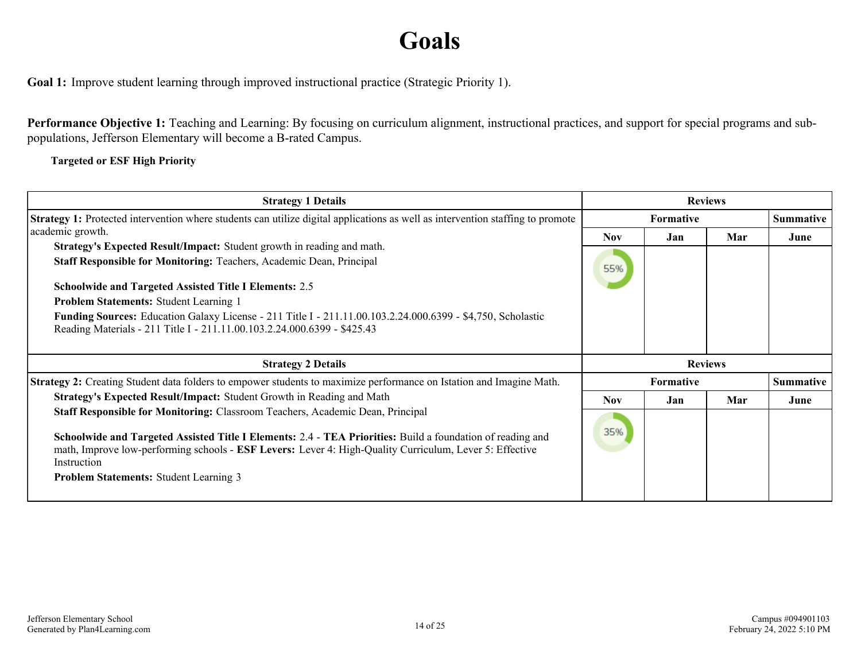# **Goals**

<span id="page-13-0"></span>**Goal 1:** Improve student learning through improved instructional practice (Strategic Priority 1).

**Performance Objective 1:** Teaching and Learning: By focusing on curriculum alignment, instructional practices, and support for special programs and subpopulations, Jefferson Elementary will become a B-rated Campus.

**Targeted or ESF High Priority**

| <b>Strategy 1 Details</b>                                                                                                                                                                                                                                                                                                                                                                                                                                                       |                   |                  | <b>Reviews</b> |                  |
|---------------------------------------------------------------------------------------------------------------------------------------------------------------------------------------------------------------------------------------------------------------------------------------------------------------------------------------------------------------------------------------------------------------------------------------------------------------------------------|-------------------|------------------|----------------|------------------|
| <b>Strategy 1:</b> Protected intervention where students can utilize digital applications as well as intervention staffing to promote                                                                                                                                                                                                                                                                                                                                           |                   | <b>Summative</b> |                |                  |
| academic growth.<br>Strategy's Expected Result/Impact: Student growth in reading and math.<br>Staff Responsible for Monitoring: Teachers, Academic Dean, Principal<br><b>Schoolwide and Targeted Assisted Title I Elements: 2.5</b><br>Problem Statements: Student Learning 1<br><b>Funding Sources:</b> Education Galaxy License - 211 Title I - 211.11.00.103.2.24.000.6399 - \$4,750, Scholastic<br>Reading Materials - 211 Title I - 211.11.00.103.2.24.000.6399 - \$425.43 | <b>Nov</b><br>55% | Jan              | Mar            | June             |
|                                                                                                                                                                                                                                                                                                                                                                                                                                                                                 |                   |                  |                |                  |
| <b>Strategy 2 Details</b>                                                                                                                                                                                                                                                                                                                                                                                                                                                       |                   |                  | <b>Reviews</b> |                  |
| Strategy 2: Creating Student data folders to empower students to maximize performance on Istation and Imagine Math.                                                                                                                                                                                                                                                                                                                                                             |                   | Formative        |                | <b>Summative</b> |
| Strategy's Expected Result/Impact: Student Growth in Reading and Math<br><b>Staff Responsible for Monitoring: Classroom Teachers, Academic Dean, Principal</b>                                                                                                                                                                                                                                                                                                                  | <b>Nov</b>        | Jan              | Mar            | June             |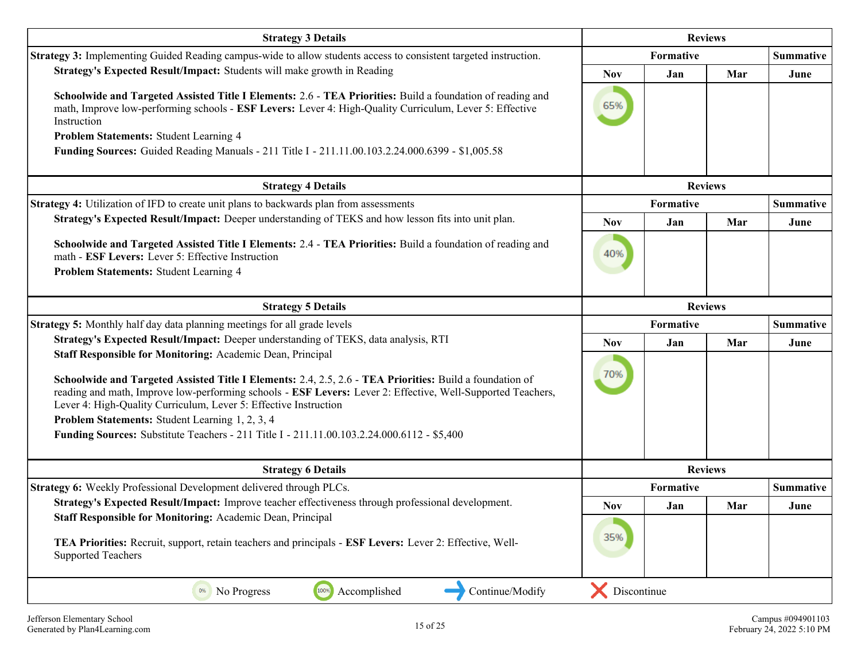| <b>Reviews</b><br><b>Strategy 3 Details</b>                                                                                                                                                                                                                                                                                                                                                                                                                                                                       |                |                |     |                  |  |
|-------------------------------------------------------------------------------------------------------------------------------------------------------------------------------------------------------------------------------------------------------------------------------------------------------------------------------------------------------------------------------------------------------------------------------------------------------------------------------------------------------------------|----------------|----------------|-----|------------------|--|
| Strategy 3: Implementing Guided Reading campus-wide to allow students access to consistent targeted instruction.                                                                                                                                                                                                                                                                                                                                                                                                  |                | Formative      |     |                  |  |
| Strategy's Expected Result/Impact: Students will make growth in Reading                                                                                                                                                                                                                                                                                                                                                                                                                                           | <b>Nov</b>     | Jan            | Mar | June             |  |
| Schoolwide and Targeted Assisted Title I Elements: 2.6 - TEA Priorities: Build a foundation of reading and<br>math, Improve low-performing schools - ESF Levers: Lever 4: High-Quality Curriculum, Lever 5: Effective<br>Instruction<br>Problem Statements: Student Learning 4                                                                                                                                                                                                                                    | 65%            |                |     |                  |  |
| Funding Sources: Guided Reading Manuals - 211 Title I - 211.11.00.103.2.24.000.6399 - \$1,005.58                                                                                                                                                                                                                                                                                                                                                                                                                  |                |                |     |                  |  |
| <b>Strategy 4 Details</b>                                                                                                                                                                                                                                                                                                                                                                                                                                                                                         |                | <b>Reviews</b> |     |                  |  |
| Strategy 4: Utilization of IFD to create unit plans to backwards plan from assessments                                                                                                                                                                                                                                                                                                                                                                                                                            |                | Formative      |     | <b>Summative</b> |  |
| Strategy's Expected Result/Impact: Deeper understanding of TEKS and how lesson fits into unit plan.                                                                                                                                                                                                                                                                                                                                                                                                               | <b>Nov</b>     | Jan            | Mar | June             |  |
| Schoolwide and Targeted Assisted Title I Elements: 2.4 - TEA Priorities: Build a foundation of reading and<br>math - ESF Levers: Lever 5: Effective Instruction<br>Problem Statements: Student Learning 4                                                                                                                                                                                                                                                                                                         | 40%            |                |     |                  |  |
| <b>Strategy 5 Details</b>                                                                                                                                                                                                                                                                                                                                                                                                                                                                                         | <b>Reviews</b> |                |     |                  |  |
| <b>Strategy 5:</b> Monthly half day data planning meetings for all grade levels                                                                                                                                                                                                                                                                                                                                                                                                                                   |                | Formative      |     |                  |  |
| Strategy's Expected Result/Impact: Deeper understanding of TEKS, data analysis, RTI                                                                                                                                                                                                                                                                                                                                                                                                                               | <b>Nov</b>     | Jan            | Mar | June             |  |
| Staff Responsible for Monitoring: Academic Dean, Principal<br>Schoolwide and Targeted Assisted Title I Elements: 2.4, 2.5, 2.6 - TEA Priorities: Build a foundation of<br>reading and math, Improve low-performing schools - ESF Levers: Lever 2: Effective, Well-Supported Teachers,<br>Lever 4: High-Quality Curriculum, Lever 5: Effective Instruction<br>Problem Statements: Student Learning 1, 2, 3, 4<br><b>Funding Sources:</b> Substitute Teachers - 211 Title I - 211.11.00.103.2.24.000.6112 - \$5,400 | 70%            |                |     |                  |  |
| <b>Strategy 6 Details</b>                                                                                                                                                                                                                                                                                                                                                                                                                                                                                         |                | <b>Reviews</b> |     |                  |  |
| <b>Strategy 6:</b> Weekly Professional Development delivered through PLCs.                                                                                                                                                                                                                                                                                                                                                                                                                                        |                | Formative      |     | <b>Summative</b> |  |
| Strategy's Expected Result/Impact: Improve teacher effectiveness through professional development.                                                                                                                                                                                                                                                                                                                                                                                                                | Nov            | Jan            | Mar | June             |  |
| Staff Responsible for Monitoring: Academic Dean, Principal<br>TEA Priorities: Recruit, support, retain teachers and principals - ESF Levers: Lever 2: Effective, Well-<br><b>Supported Teachers</b>                                                                                                                                                                                                                                                                                                               | 35%            |                |     |                  |  |
| Accomplished<br>Continue/Modify<br>100%<br>0%<br>No Progress                                                                                                                                                                                                                                                                                                                                                                                                                                                      | Discontinue    |                |     |                  |  |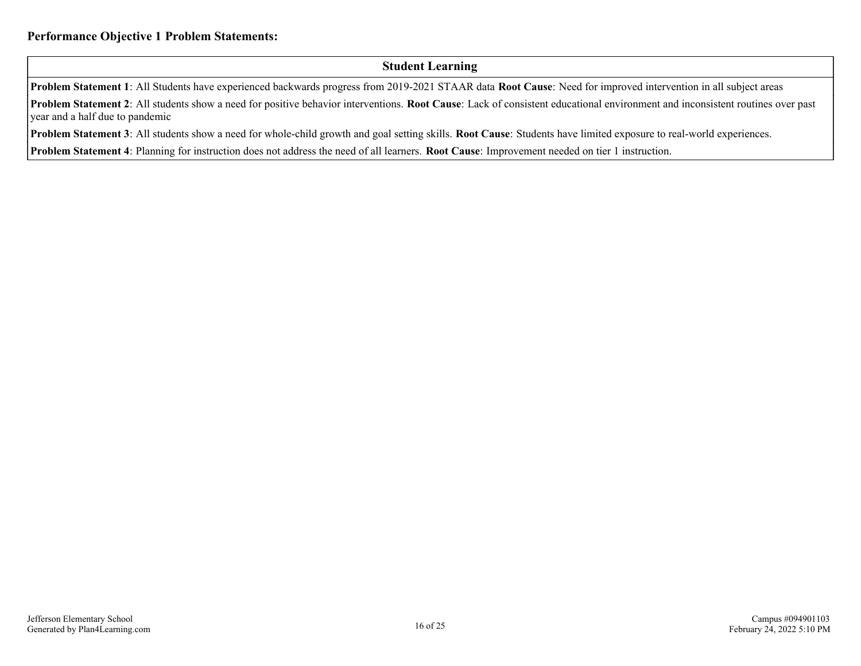#### **Student Learning**

**Problem Statement 1**: All Students have experienced backwards progress from 2019-2021 STAAR data **Root Cause**: Need for improved intervention in all subject areas

**Problem Statement 2**: All students show a need for positive behavior interventions. **Root Cause**: Lack of consistent educational environment and inconsistent routines over past year and a half due to pandemic

**Problem Statement 3**: All students show a need for whole-child growth and goal setting skills. **Root Cause**: Students have limited exposure to real-world experiences.

**Problem Statement 4**: Planning for instruction does not address the need of all learners. **Root Cause**: Improvement needed on tier 1 instruction.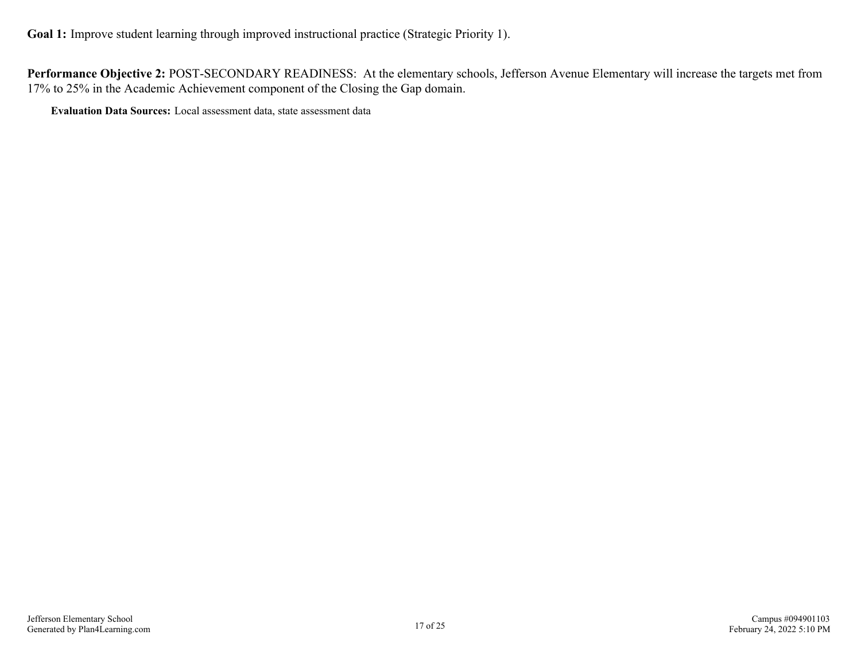**Performance Objective 2:** POST-SECONDARY READINESS: At the elementary schools, Jefferson Avenue Elementary will increase the targets met from 17% to 25% in the Academic Achievement component of the Closing the Gap domain.

**Evaluation Data Sources:** Local assessment data, state assessment data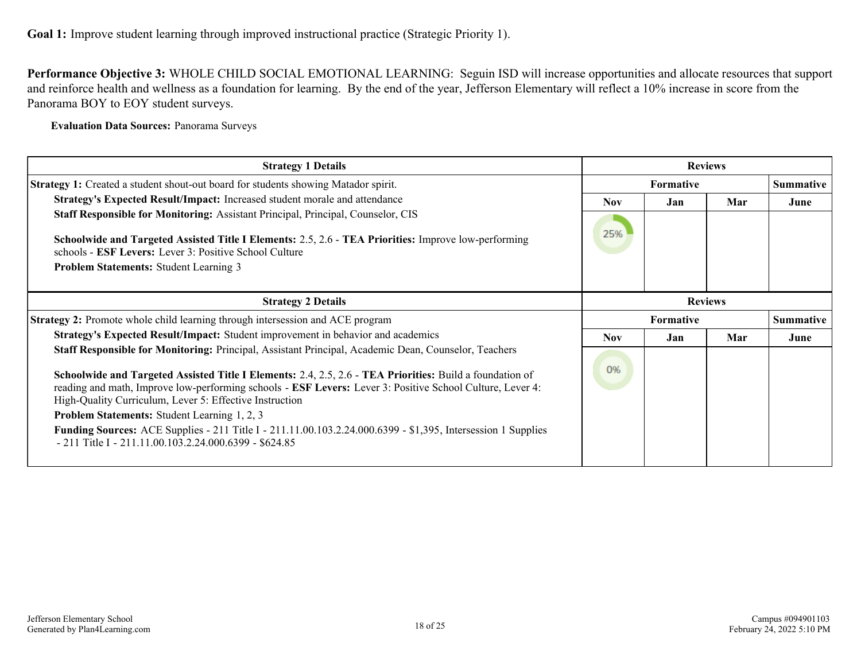**Performance Objective 3:** WHOLE CHILD SOCIAL EMOTIONAL LEARNING: Seguin ISD will increase opportunities and allocate resources that support and reinforce health and wellness as a foundation for learning. By the end of the year, Jefferson Elementary will reflect a 10% increase in score from the Panorama BOY to EOY student surveys.

**Evaluation Data Sources:** Panorama Surveys

| <b>Strategy 1 Details</b>                                                                                                                                                                                                                                                        |            |                  | <b>Reviews</b> |                  |
|----------------------------------------------------------------------------------------------------------------------------------------------------------------------------------------------------------------------------------------------------------------------------------|------------|------------------|----------------|------------------|
| <b>Strategy 1:</b> Created a student shout-out board for students showing Matador spirit.                                                                                                                                                                                        |            | <b>Formative</b> |                | <b>Summative</b> |
| Strategy's Expected Result/Impact: Increased student morale and attendance                                                                                                                                                                                                       | Nov.       | Jan.             | Mar            | June             |
| Staff Responsible for Monitoring: Assistant Principal, Principal, Counselor, CIS                                                                                                                                                                                                 |            |                  |                |                  |
| Schoolwide and Targeted Assisted Title I Elements: 2.5, 2.6 - TEA Priorities: Improve low-performing<br>schools - <b>ESF Levers:</b> Lever 3: Positive School Culture                                                                                                            | 25%        |                  |                |                  |
| <b>Problem Statements: Student Learning 3</b>                                                                                                                                                                                                                                    |            |                  |                |                  |
| <b>Strategy 2 Details</b>                                                                                                                                                                                                                                                        |            |                  | <b>Reviews</b> |                  |
| Strategy 2: Promote whole child learning through intersession and ACE program                                                                                                                                                                                                    |            | Formative        |                | <b>Summative</b> |
| Strategy's Expected Result/Impact: Student improvement in behavior and academics                                                                                                                                                                                                 | <b>Nov</b> | Jan              | Mar            | June             |
| Staff Responsible for Monitoring: Principal, Assistant Principal, Academic Dean, Counselor, Teachers                                                                                                                                                                             |            |                  |                |                  |
| Schoolwide and Targeted Assisted Title I Elements: 2.4, 2.5, 2.6 - TEA Priorities: Build a foundation of<br>reading and math, Improve low-performing schools - ESF Levers: Lever 3: Positive School Culture, Lever 4:<br>High-Quality Curriculum, Lever 5: Effective Instruction | 0%         |                  |                |                  |
| <b>Problem Statements:</b> Student Learning 1, 2, 3                                                                                                                                                                                                                              |            |                  |                |                  |
| <b>Funding Sources:</b> ACE Supplies - 211 Title I - 211.11.00.103.2.24.000.6399 - \$1,395, Intersession 1 Supplies<br>$-211$ Title I $-211.11.00.103.2.24.000.6399 - $624.85$                                                                                                   |            |                  |                |                  |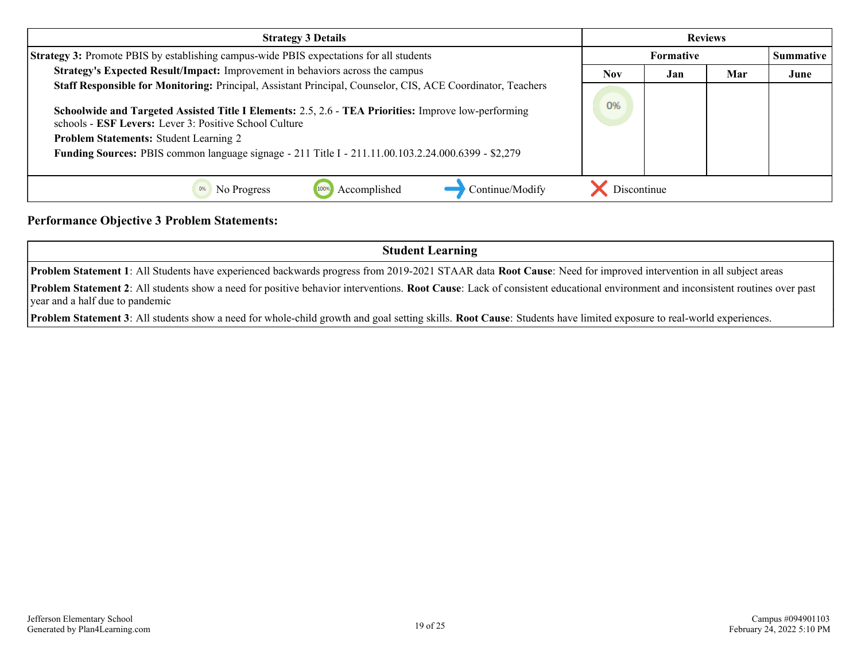| <b>Strategy 3 Details</b>                                                                                                                                      |             | <b>Reviews</b>   |     |                  |
|----------------------------------------------------------------------------------------------------------------------------------------------------------------|-------------|------------------|-----|------------------|
| Strategy 3: Promote PBIS by establishing campus-wide PBIS expectations for all students                                                                        |             | <b>Formative</b> |     | <b>Summative</b> |
| Strategy's Expected Result/Impact: Improvement in behaviors across the campus                                                                                  | <b>Nov</b>  | Jan              | Mar | June             |
| Staff Responsible for Monitoring: Principal, Assistant Principal, Counselor, CIS, ACE Coordinator, Teachers                                                    |             |                  |     |                  |
| Schoolwide and Targeted Assisted Title I Elements: 2.5, 2.6 - TEA Priorities: Improve low-performing<br>schools - ESF Levers: Lever 3: Positive School Culture |             |                  |     |                  |
| <b>Problem Statements: Student Learning 2</b>                                                                                                                  |             |                  |     |                  |
| <b>Funding Sources:</b> PBIS common language signage - 211 Title I - 211.11.00.103.2.24.000.6399 - \$2,279                                                     |             |                  |     |                  |
|                                                                                                                                                                |             |                  |     |                  |
| Continue/Modify<br>Accomplished<br>No Progress                                                                                                                 | Discontinue |                  |     |                  |

#### **Performance Objective 3 Problem Statements:**

**Student Learning**

**Problem Statement 1**: All Students have experienced backwards progress from 2019-2021 STAAR data **Root Cause**: Need for improved intervention in all subject areas

**Problem Statement 2**: All students show a need for positive behavior interventions. **Root Cause**: Lack of consistent educational environment and inconsistent routines over past year and a half due to pandemic

**Problem Statement 3**: All students show a need for whole-child growth and goal setting skills. **Root Cause**: Students have limited exposure to real-world experiences.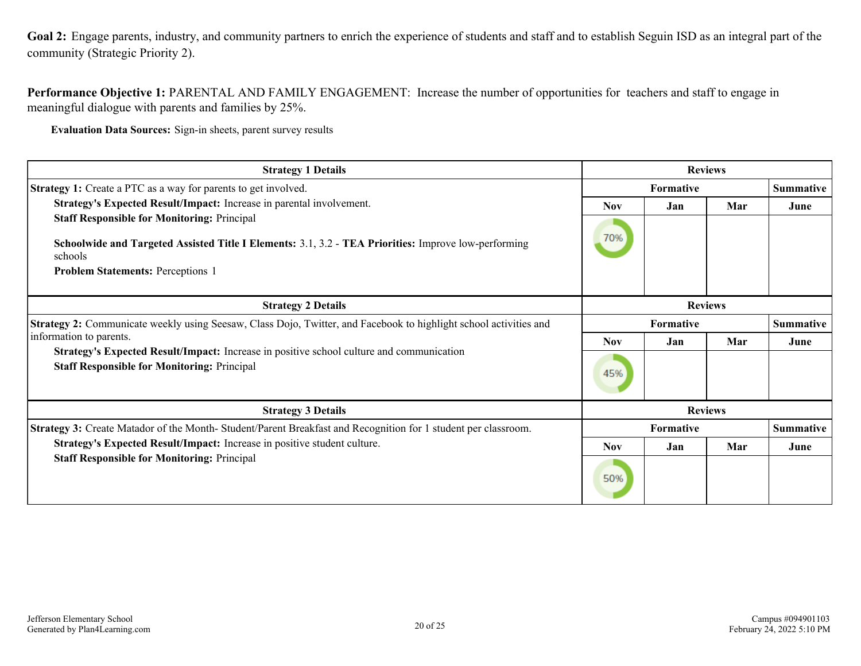<span id="page-19-0"></span>**Goal 2:** Engage parents, industry, and community partners to enrich the experience of students and staff and to establish Seguin ISD as an integral part of the community (Strategic Priority 2).

**Performance Objective 1:** PARENTAL AND FAMILY ENGAGEMENT: Increase the number of opportunities for teachers and staff to engage in meaningful dialogue with parents and families by 25%.

**Evaluation Data Sources:** Sign-in sheets, parent survey results

| <b>Strategy 1 Details</b>                                                                                                                                                                                         | <b>Reviews</b> |                                      |                |                  |
|-------------------------------------------------------------------------------------------------------------------------------------------------------------------------------------------------------------------|----------------|--------------------------------------|----------------|------------------|
| <b>Strategy 1:</b> Create a PTC as a way for parents to get involved.                                                                                                                                             |                | Formative                            |                | <b>Summative</b> |
| Strategy's Expected Result/Impact: Increase in parental involvement.                                                                                                                                              | <b>Nov</b>     | Jan                                  | Mar            | June             |
| <b>Staff Responsible for Monitoring: Principal</b><br>Schoolwide and Targeted Assisted Title I Elements: 3.1, 3.2 - TEA Priorities: Improve low-performing<br>schools<br><b>Problem Statements: Perceptions 1</b> | 70%            |                                      |                |                  |
| <b>Strategy 2 Details</b>                                                                                                                                                                                         |                |                                      | <b>Reviews</b> |                  |
| Strategy 2: Communicate weekly using Seesaw, Class Dojo, Twitter, and Facebook to highlight school activities and                                                                                                 |                | <b>Summative</b><br><b>Formative</b> |                |                  |
| information to parents.<br>Strategy's Expected Result/Impact: Increase in positive school culture and communication<br><b>Staff Responsible for Monitoring: Principal</b>                                         | <b>Nov</b>     | Jan                                  | Mar            | June             |
|                                                                                                                                                                                                                   | 45%            |                                      |                |                  |
| <b>Strategy 3 Details</b>                                                                                                                                                                                         | <b>Reviews</b> |                                      |                |                  |
| Strategy 3: Create Matador of the Month-Student/Parent Breakfast and Recognition for 1 student per classroom.                                                                                                     |                | Formative                            |                | <b>Summative</b> |
| Strategy's Expected Result/Impact: Increase in positive student culture.<br><b>Staff Responsible for Monitoring: Principal</b>                                                                                    | <b>Nov</b>     | Jan                                  | Mar            | June             |
|                                                                                                                                                                                                                   | 50%            |                                      |                |                  |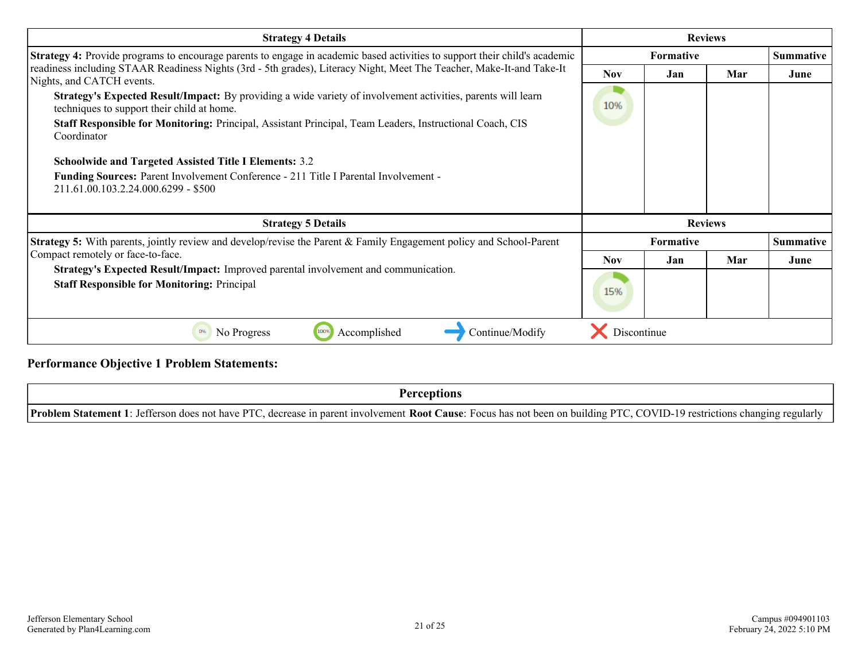| <b>Strategy 4 Details</b>                                                                                                                                  |             |                  | <b>Reviews</b> |      |
|------------------------------------------------------------------------------------------------------------------------------------------------------------|-------------|------------------|----------------|------|
| Strategy 4: Provide programs to encourage parents to engage in academic based activities to support their child's academic                                 |             | <b>Formative</b> |                |      |
| readiness including STAAR Readiness Nights (3rd - 5th grades), Literacy Night, Meet The Teacher, Make-It-and Take-It<br>Nights, and CATCH events.          | <b>Nov</b>  | Jan              | Mar            | June |
| Strategy's Expected Result/Impact: By providing a wide variety of involvement activities, parents will learn<br>techniques to support their child at home. | 10%         |                  |                |      |
| Staff Responsible for Monitoring: Principal, Assistant Principal, Team Leaders, Instructional Coach, CIS<br>Coordinator                                    |             |                  |                |      |
| <b>Schoolwide and Targeted Assisted Title I Elements: 3.2</b>                                                                                              |             |                  |                |      |
| Funding Sources: Parent Involvement Conference - 211 Title I Parental Involvement -<br>211.61.00.103.2.24.000.6299 - \$500                                 |             |                  |                |      |
| <b>Strategy 5 Details</b>                                                                                                                                  |             |                  | <b>Reviews</b> |      |
| <b>Strategy 5:</b> With parents, jointly review and develop/revise the Parent & Family Engagement policy and School-Parent                                 |             | <b>Formative</b> |                |      |
| Compact remotely or face-to-face.                                                                                                                          | <b>Nov</b>  | Jan.             | Mar            | June |
| Strategy's Expected Result/Impact: Improved parental involvement and communication.<br><b>Staff Responsible for Monitoring: Principal</b>                  | 15%         |                  |                |      |
| 100%<br>Continue/Modify<br>0%<br>No Progress<br>Accomplished                                                                                               | Discontinue |                  |                |      |

#### **Performance Objective 1 Problem Statements:**

**Perceptions**

**Problem Statement 1**: Jefferson does not have PTC, decrease in parent involvement **Root Cause**: Focus has not been on building PTC, COVID-19 restrictions changing regularly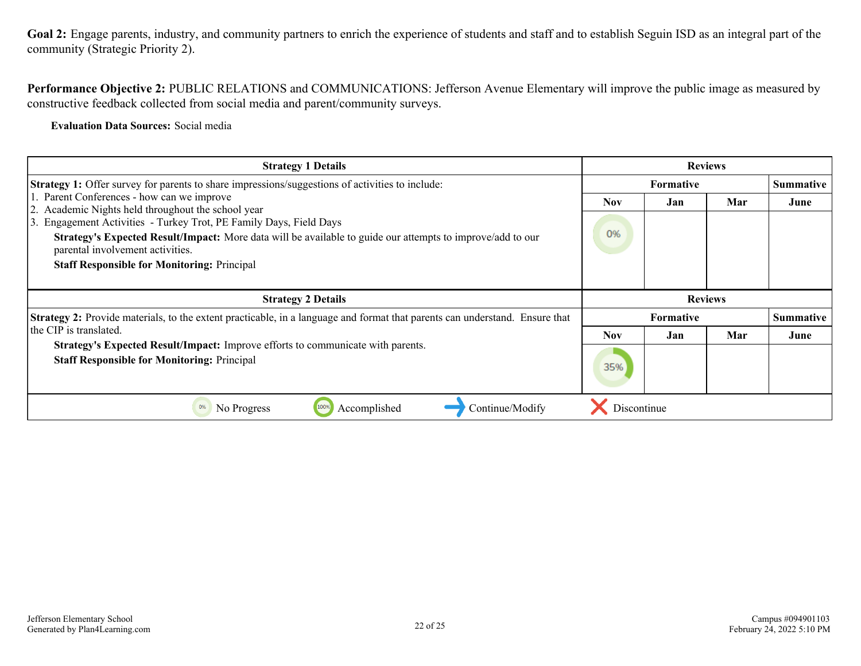Goal 2: Engage parents, industry, and community partners to enrich the experience of students and staff and to establish Seguin ISD as an integral part of the community (Strategic Priority 2).

**Performance Objective 2:** PUBLIC RELATIONS and COMMUNICATIONS: Jefferson Avenue Elementary will improve the public image as measured by constructive feedback collected from social media and parent/community surveys.

**Evaluation Data Sources:** Social media

| <b>Strategy 1 Details</b>                                                                                                                      |            | <b>Reviews</b>   |     |                  |
|------------------------------------------------------------------------------------------------------------------------------------------------|------------|------------------|-----|------------------|
| <b>Strategy 1:</b> Offer survey for parents to share impressions/suggestions of activities to include:                                         |            | <b>Formative</b> |     | <b>Summative</b> |
| 1. Parent Conferences - how can we improve<br>2. Academic Nights held throughout the school year                                               | Nov.       | Jan              | Mar | June             |
| Engagement Activities - Turkey Trot, PE Family Days, Field Days<br>13.                                                                         |            |                  |     |                  |
| Strategy's Expected Result/Impact: More data will be available to guide our attempts to improve/add to our<br>parental involvement activities. | 0%         |                  |     |                  |
| <b>Staff Responsible for Monitoring: Principal</b>                                                                                             |            |                  |     |                  |
|                                                                                                                                                |            |                  |     |                  |
|                                                                                                                                                |            |                  |     |                  |
| <b>Strategy 2 Details</b>                                                                                                                      |            | <b>Reviews</b>   |     |                  |
| <b>Strategy 2:</b> Provide materials, to the extent practicable, in a language and format that parents can understand. Ensure that             |            | <b>Formative</b> |     | <b>Summative</b> |
| the CIP is translated.                                                                                                                         | <b>Nov</b> | Jan              | Mar | June             |
| Strategy's Expected Result/Impact: Improve efforts to communicate with parents.<br><b>Staff Responsible for Monitoring: Principal</b>          | 35%        |                  |     |                  |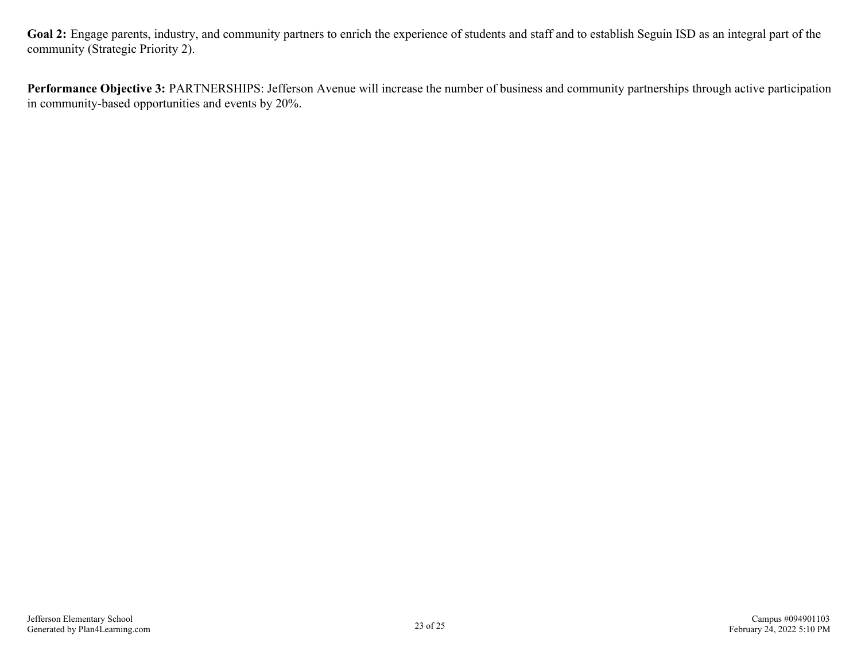**Goal 2:** Engage parents, industry, and community partners to enrich the experience of students and staff and to establish Seguin ISD as an integral part of the community (Strategic Priority 2).

**Performance Objective 3:** PARTNERSHIPS: Jefferson Avenue will increase the number of business and community partnerships through active participation in community-based opportunities and events by 20%.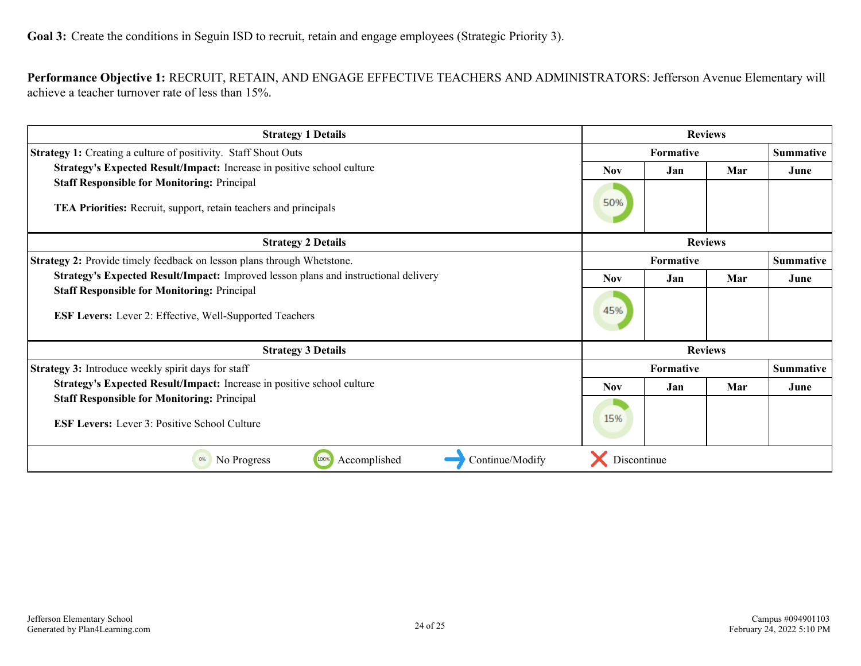<span id="page-23-0"></span>**Performance Objective 1:** RECRUIT, RETAIN, AND ENGAGE EFFECTIVE TEACHERS AND ADMINISTRATORS: Jefferson Avenue Elementary will achieve a teacher turnover rate of less than 15%.

| <b>Strategy 1 Details</b>                                                                                                                                                                                   |                  |                  | <b>Reviews</b> |                  |
|-------------------------------------------------------------------------------------------------------------------------------------------------------------------------------------------------------------|------------------|------------------|----------------|------------------|
| <b>Strategy 1:</b> Creating a culture of positivity. Staff Shout Outs                                                                                                                                       |                  | Formative        |                |                  |
| Strategy's Expected Result/Impact: Increase in positive school culture                                                                                                                                      |                  | Jan              | Mar            | June             |
| <b>Staff Responsible for Monitoring: Principal</b>                                                                                                                                                          |                  |                  |                |                  |
| TEA Priorities: Recruit, support, retain teachers and principals                                                                                                                                            |                  |                  |                |                  |
| <b>Strategy 2 Details</b>                                                                                                                                                                                   |                  |                  | <b>Reviews</b> |                  |
| <b>Strategy 2:</b> Provide timely feedback on lesson plans through Whetstone.                                                                                                                               |                  | <b>Formative</b> |                | <b>Summative</b> |
| Strategy's Expected Result/Impact: Improved lesson plans and instructional delivery<br><b>Staff Responsible for Monitoring: Principal</b><br><b>ESF Levers:</b> Lever 2: Effective, Well-Supported Teachers |                  | Jan              | Mar            | June             |
|                                                                                                                                                                                                             |                  |                  |                |                  |
|                                                                                                                                                                                                             |                  |                  |                |                  |
| <b>Strategy 3 Details</b>                                                                                                                                                                                   |                  |                  | <b>Reviews</b> |                  |
| Strategy 3: Introduce weekly spirit days for staff                                                                                                                                                          | <b>Formative</b> |                  |                | <b>Summative</b> |
| Strategy's Expected Result/Impact: Increase in positive school culture                                                                                                                                      | <b>Nov</b>       | Jan              | Mar            | June             |
| <b>Staff Responsible for Monitoring: Principal</b>                                                                                                                                                          |                  |                  |                |                  |
| <b>ESF Levers:</b> Lever 3: Positive School Culture                                                                                                                                                         |                  |                  |                |                  |
| No Progress<br>100%<br>Accomplished<br>Continue/Modify<br>0%                                                                                                                                                | Discontinue      |                  |                |                  |